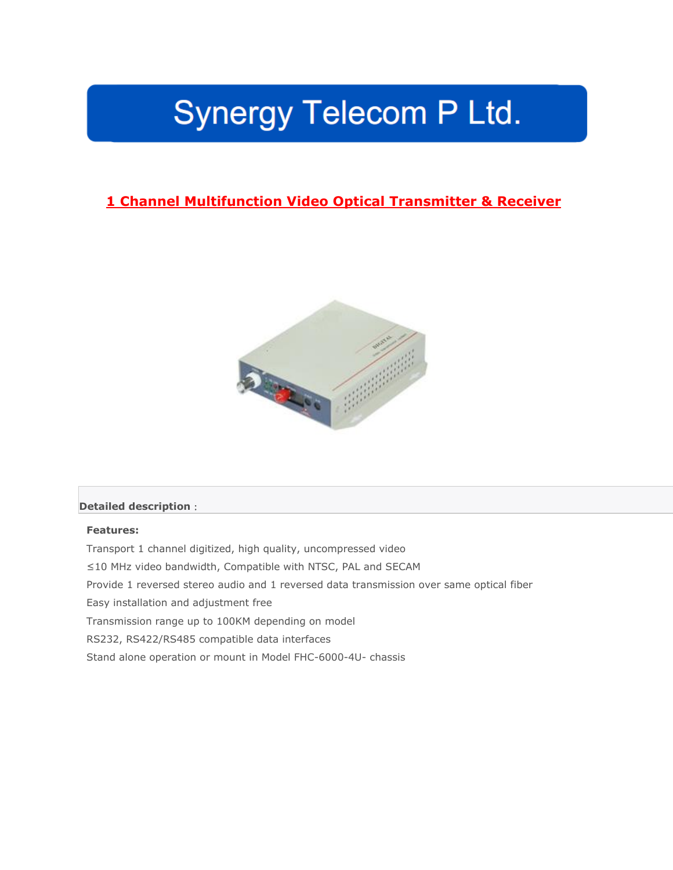# Synergy Telecom P Ltd.

## **1 Channel Multifunction Video Optical Transmitter & Receiver**



#### **Detailed description**:

#### **Features:**

Transport 1 channel digitized, high quality, uncompressed video ≤10 MHz video bandwidth, Compatible with NTSC, PAL and SECAM Provide 1 reversed stereo audio and 1 reversed data transmission over same optical fiber Easy installation and adjustment free Transmission range up to 100KM depending on model RS232, RS422/RS485 compatible data interfaces Stand alone operation or mount in Model FHC-6000-4U- chassis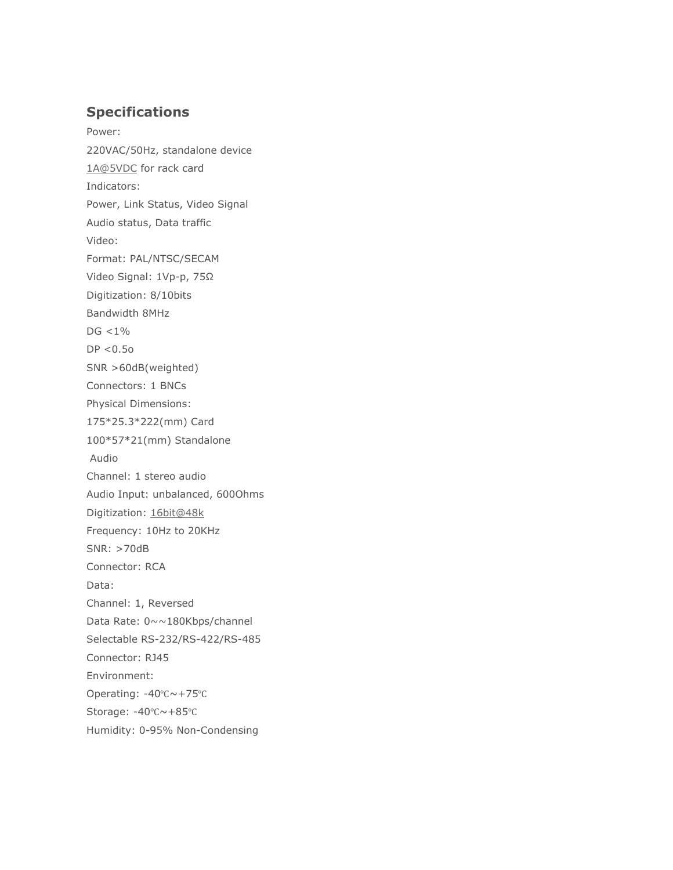### **Specifications**

Power: 220VAC/50Hz, standalone device [1A@5VDC](mailto:1A@5VDC) for rack card Indicators: Power, Link Status, Video Signal Audio status, Data traffic Video: Format: PAL/NTSC/SECAM Video Signal: 1Vp-p, 75Ω Digitization: 8/10bits Bandwidth 8MHz DG <1% DP <0.5o SNR >60dB(weighted) Connectors: 1 BNCs Physical Dimensions: 175\*25.3\*222(mm) Card 100\*57\*21(mm) Standalone Audio Channel: 1 stereo audio Audio Input: unbalanced, 600Ohms Digitization: [16bit@48k](mailto:16bit@48k) Frequency: 10Hz to 20KHz SNR: >70dB Connector: RCA Data: Channel: 1, Reversed Data Rate: 0~~180Kbps/channel Selectable RS-232/RS-422/RS-485 Connector: RJ45 Environment: Operating: -40℃~+75℃ Storage: -40℃~+85℃ Humidity: 0-95% Non-Condensing